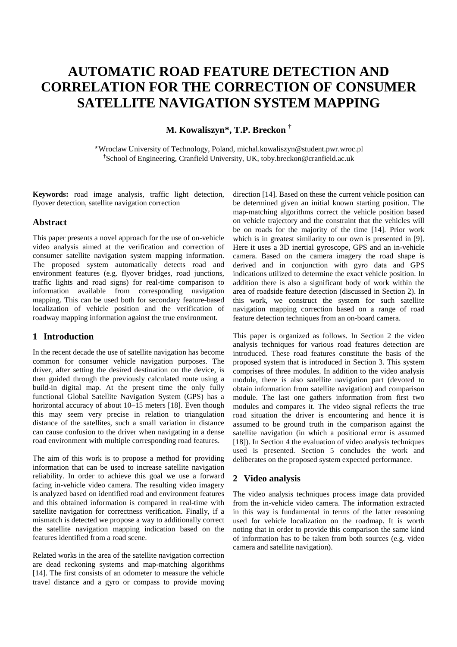# **AUTOMATIC ROAD FEATURE DETECTION AND CORRELATION FOR THE CORRECTION OF CONSUMER SATELLITE NAVIGATION SYSTEM MAPPING**

# **M. Kowaliszyn\*, T.P. Breckon †**

\*Wroclaw University of Technology, Poland, michal.kowaliszyn@student.pwr.wroc.pl †School of Engineering, Cranfield University, UK, toby.breckon@cranfield.ac.uk

**Keywords:** road image analysis, traffic light detection, flyover detection, satellite navigation correction

# **Abstract**

This paper presents a novel approach for the use of on-vehicle video analysis aimed at the verification and correction of consumer satellite navigation system mapping information. The proposed system automatically detects road and environment features (e.g. flyover bridges, road junctions, traffic lights and road signs) for real-time comparison to information available from corresponding navigation mapping. This can be used both for secondary feature-based localization of vehicle position and the verification of roadway mapping information against the true environment.

# **1 Introduction**

In the recent decade the use of satellite navigation has become common for consumer vehicle navigation purposes. The driver, after setting the desired destination on the device, is then guided through the previously calculated route using a build-in digital map. At the present time the only fully functional Global Satellite Navigation System (GPS) has a horizontal accuracy of about 10–15 meters [18]. Even though this may seem very precise in relation to triangulation distance of the satellites, such a small variation in distance can cause confusion to the driver when navigating in a dense road environment with multiple corresponding road features.

The aim of this work is to propose a method for providing information that can be used to increase satellite navigation reliability. In order to achieve this goal we use a forward facing in-vehicle video camera. The resulting video imagery is analyzed based on identified road and environment features and this obtained information is compared in real-time with satellite navigation for correctness verification. Finally, if a mismatch is detected we propose a way to additionally correct the satellite navigation mapping indication based on the features identified from a road scene.

Related works in the area of the satellite navigation correction are dead reckoning systems and map-matching algorithms [14]. The first consists of an odometer to measure the vehicle travel distance and a gyro or compass to provide moving

direction [14]. Based on these the current vehicle position can be determined given an initial known starting position. The map-matching algorithms correct the vehicle position based on vehicle trajectory and the constraint that the vehicles will be on roads for the majority of the time [14]. Prior work which is in greatest similarity to our own is presented in [9]. Here it uses a 3D inertial gyroscope, GPS and an in-vehicle camera. Based on the camera imagery the road shape is derived and in conjunction with gyro data and GPS indications utilized to determine the exact vehicle position. In addition there is also a significant body of work within the area of roadside feature detection (discussed in Section 2). In this work, we construct the system for such satellite navigation mapping correction based on a range of road feature detection techniques from an on-board camera.

This paper is organized as follows. In Section 2 the video analysis techniques for various road features detection are introduced. These road features constitute the basis of the proposed system that is introduced in Section 3. This system comprises of three modules. In addition to the video analysis module, there is also satellite navigation part (devoted to obtain information from satellite navigation) and comparison module. The last one gathers information from first two modules and compares it. The video signal reflects the true road situation the driver is encountering and hence it is assumed to be ground truth in the comparison against the satellite navigation (in which a positional error is assumed [18]). In Section 4 the evaluation of video analysis techniques used is presented. Section 5 concludes the work and deliberates on the proposed system expected performance.

# **2 Video analysis**

The video analysis techniques process image data provided from the in-vehicle video camera. The information extracted in this way is fundamental in terms of the latter reasoning used for vehicle localization on the roadmap. It is worth noting that in order to provide this comparison the same kind of information has to be taken from both sources (e.g. video camera and satellite navigation).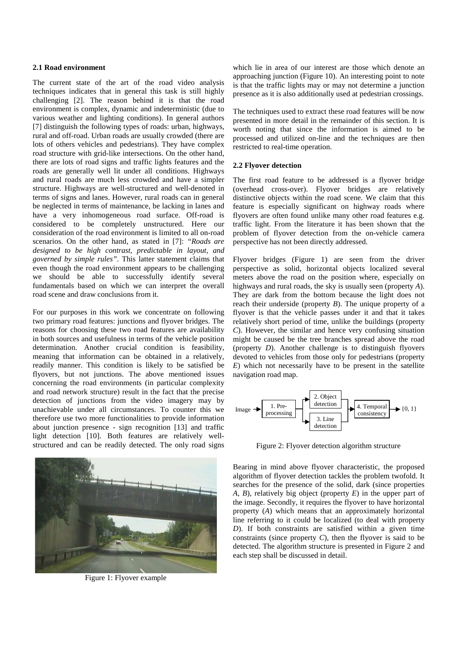#### **2.1 Road environment**

The current state of the art of the road video analysis techniques indicates that in general this task is still highly challenging [2]. The reason behind it is that the road environment is complex, dynamic and indeterministic (due to various weather and lighting conditions). In general authors [7] distinguish the following types of roads: urban, highways, rural and off-road. Urban roads are usually crowded (there are lots of others vehicles and pedestrians). They have complex road structure with grid-like intersections. On the other hand, there are lots of road signs and traffic lights features and the roads are generally well lit under all conditions. Highways and rural roads are much less crowded and have a simpler structure. Highways are well-structured and well-denoted in terms of signs and lanes. However, rural roads can in general be neglected in terms of maintenance, be lacking in lanes and have a very inhomogeneous road surface. Off-road is considered to be completely unstructured. Here our consideration of the road environment is limited to all on-road scenarios. On the other hand, as stated in [7]: *"Roads are designed to be high contrast, predictable in layout, and governed by simple rules"*. This latter statement claims that even though the road environment appears to be challenging we should be able to successfully identify several fundamentals based on which we can interpret the overall road scene and draw conclusions from it.

For our purposes in this work we concentrate on following two primary road features: junctions and flyover bridges. The reasons for choosing these two road features are availability in both sources and usefulness in terms of the vehicle position determination. Another crucial condition is feasibility, meaning that information can be obtained in a relatively, readily manner. This condition is likely to be satisfied be flyovers, but not junctions. The above mentioned issues concerning the road environments (in particular complexity and road network structure) result in the fact that the precise detection of junctions from the video imagery may by unachievable under all circumstances. To counter this we therefore use two more functionalities to provide information about junction presence - sign recognition [13] and traffic light detection [10]. Both features are relatively wellstructured and can be readily detected. The only road signs



Figure 1: Flyover example

which lie in area of our interest are those which denote an approaching junction (Figure 10). An interesting point to note is that the traffic lights may or may not determine a junction presence as it is also additionally used at pedestrian crossings.

The techniques used to extract these road features will be now presented in more detail in the remainder of this section. It is worth noting that since the information is aimed to be processed and utilized on-line and the techniques are then restricted to real-time operation.

#### **2.2 Flyover detection**

The first road feature to be addressed is a flyover bridge (overhead cross-over). Flyover bridges are relatively distinctive objects within the road scene. We claim that this feature is especially significant on highway roads where flyovers are often found unlike many other road features e.g. traffic light. From the literature it has been shown that the problem of flyover detection from the on-vehicle camera perspective has not been directly addressed.

Flyover bridges (Figure 1) are seen from the driver perspective as solid, horizontal objects localized several meters above the road on the position where, especially on highways and rural roads, the sky is usually seen (property *A*). They are dark from the bottom because the light does not reach their underside (property *B*). The unique property of a flyover is that the vehicle passes under it and that it takes relatively short period of time, unlike the buildings (property *C*). However, the similar and hence very confusing situation might be caused be the tree branches spread above the road (property *D*). Another challenge is to distinguish flyovers devoted to vehicles from those only for pedestrians (property *E*) which not necessarily have to be present in the satellite navigation road map.



Figure 2: Flyover detection algorithm structure

Bearing in mind above flyover characteristic, the proposed algorithm of flyover detection tackles the problem twofold. It searches for the presence of the solid, dark (since properties *A*, *B*), relatively big object (property *E*) in the upper part of the image. Secondly, it requires the flyover to have horizontal property (*A*) which means that an approximately horizontal line referring to it could be localized (to deal with property *D*). If both constraints are satisfied within a given time constraints (since property *C*), then the flyover is said to be detected. The algorithm structure is presented in Figure 2 and each step shall be discussed in detail.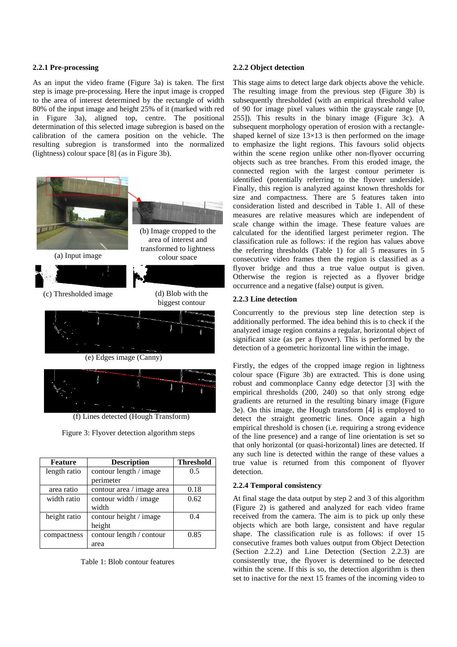# **2.2.1 Pre-processing**

As an input the video frame (Figure 3a) is taken. The first step is image pre-processing. Here the input image is cropped to the area of interest determined by the rectangle of width 80% of the input image and height 25% of it (marked with red in Figure 3a), aligned top, centre. The positional determination of this selected image subregion is based on the calibration of the camera position on the vehicle. The resulting subregion is transformed into the normalized (lightness) colour space [8] (as in Figure 3b).



(f) Lines detected (Hough Transform)

Figure 3: Flyover detection algorithm steps

| <b>Feature</b> | <b>Description</b>        | <b>Threshold</b> |
|----------------|---------------------------|------------------|
| length ratio   | contour length / image    | 0.5              |
|                | perimeter                 |                  |
| area ratio     | contour area / image area | 0.18             |
| width ratio    | contour width / image     | 0.62             |
|                | width                     |                  |
| height ratio   | contour height / image    | 0.4              |
|                | height                    |                  |
| compactness    | contour length / contour  | 0.85             |
|                | area                      |                  |

Table 1: Blob contour features

#### **2.2.2 Object detection**

This stage aims to detect large dark objects above the vehicle. The resulting image from the previous step (Figure 3b) is subsequently thresholded (with an empirical threshold value of 90 for image pixel values within the grayscale range [0, 255]). This results in the binary image (Figure 3c). A subsequent morphology operation of erosion with a rectangleshaped kernel of size  $13\times13$  is then performed on the image to emphasize the light regions. This favours solid objects within the scene region unlike other non-flyover occurring objects such as tree branches. From this eroded image, the connected region with the largest contour perimeter is identified (potentially referring to the flyover underside). Finally, this region is analyzed against known thresholds for size and compactness. There are 5 features taken into consideration listed and described in Table 1. All of these measures are relative measures which are independent of scale change within the image. These feature values are calculated for the identified largest perimeter region. The classification rule as follows: if the region has values above the referring thresholds (Table 1) for all 5 measures in 5 consecutive video frames then the region is classified as a flyover bridge and thus a true value output is given. Otherwise the region is rejected as a flyover bridge occurrence and a negative (false) output is given.

#### **2.2.3 Line detection**

Concurrently to the previous step line detection step is additionally performed. The idea behind this is to check if the analyzed image region contains a regular, horizontal object of significant size (as per a flyover). This is performed by the detection of a geometric horizontal line within the image.

Firstly, the edges of the cropped image region in lightness colour space (Figure 3b) are extracted. This is done using robust and commonplace Canny edge detector [3] with the empirical thresholds (200, 240) so that only strong edge gradients are returned in the resulting binary image (Figure 3e). On this image, the Hough transform [4] is employed to detect the straight geometric lines. Once again a high empirical threshold is chosen (i.e. requiring a strong evidence of the line presence) and a range of line orientation is set so that only horizontal (or quasi-horizontal) lines are detected. If any such line is detected within the range of these values a true value is returned from this component of flyover detection.

# **2.2.4 Temporal consistency**

At final stage the data output by step 2 and 3 of this algorithm (Figure 2) is gathered and analyzed for each video frame received from the camera. The aim is to pick up only these objects which are both large, consistent and have regular shape. The classification rule is as follows: if over 15 consecutive frames both values output from Object Detection (Section 2.2.2) and Line Detection (Section 2.2.3) are consistently true, the flyover is determined to be detected within the scene. If this is so, the detection algorithm is then set to inactive for the next 15 frames of the incoming video to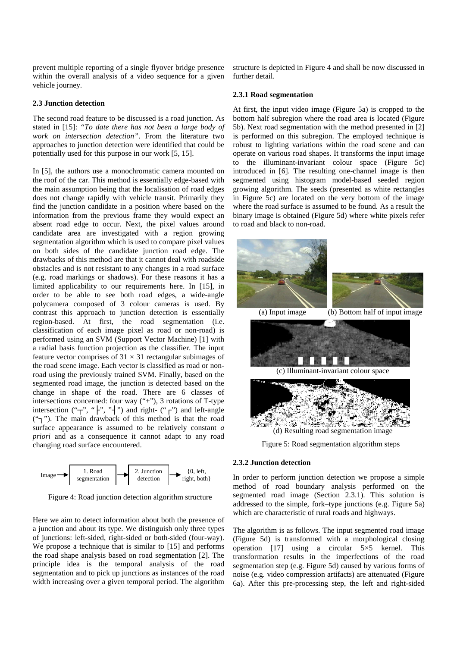prevent multiple reporting of a single flyover bridge presence within the overall analysis of a video sequence for a given vehicle journey.

#### **2.3 Junction detection**

The second road feature to be discussed is a road junction. As stated in [15]: *"To date there has not been a large body of work on intersection detection"*. From the literature two approaches to junction detection were identified that could be potentially used for this purpose in our work [5, 15].

In [5], the authors use a monochromatic camera mounted on the roof of the car. This method is essentially edge-based with the main assumption being that the localisation of road edges does not change rapidly with vehicle transit. Primarily they find the junction candidate in a position where based on the information from the previous frame they would expect an absent road edge to occur. Next, the pixel values around candidate area are investigated with a region growing segmentation algorithm which is used to compare pixel values on both sides of the candidate junction road edge. The drawbacks of this method are that it cannot deal with roadside obstacles and is not resistant to any changes in a road surface (e.g. road markings or shadows). For these reasons it has a limited applicability to our requirements here. In [15], in order to be able to see both road edges, a wide-angle polycamera composed of 3 colour cameras is used. By contrast this approach to junction detection is essentially region-based. At first, the road segmentation (i.e. classification of each image pixel as road or non-road) is performed using an SVM (Support Vector Machine) [1] with a radial basis function projection as the classifier. The input feature vector comprises of  $31 \times 31$  rectangular subimages of the road scene image. Each vector is classified as road or nonroad using the previously trained SVM. Finally, based on the segmented road image, the junction is detected based on the change in shape of the road. There are 6 classes of intersections concerned: four way  $($ "+" $)$ , 3 rotations of T-type intersection ("┬", "├", "┤") and right- ("┌") and left-angle ("┐"). The main drawback of this method is that the road surface appearance is assumed to be relatively constant *a priori* and as a consequence it cannot adapt to any road changing road surface encountered.



Figure 4: Road junction detection algorithm structure

Here we aim to detect information about both the presence of a junction and about its type. We distinguish only three types of junctions: left-sided, right-sided or both-sided (four-way). We propose a technique that is similar to [15] and performs the road shape analysis based on road segmentation [2]. The principle idea is the temporal analysis of the road segmentation and to pick up junctions as instances of the road width increasing over a given temporal period. The algorithm structure is depicted in Figure 4 and shall be now discussed in further detail.

#### **2.3.1 Road segmentation**

At first, the input video image (Figure 5a) is cropped to the bottom half subregion where the road area is located (Figure 5b). Next road segmentation with the method presented in [2] is performed on this subregion. The employed technique is robust to lighting variations within the road scene and can operate on various road shapes. It transforms the input image to the illuminant-invariant colour space (Figure 5c) introduced in [6]. The resulting one-channel image is then segmented using histogram model-based seeded region growing algorithm. The seeds (presented as white rectangles in Figure 5c) are located on the very bottom of the image where the road surface is assumed to be found. As a result the binary image is obtained (Figure 5d) where white pixels refer to road and black to non-road.



Figure 5: Road segmentation algorithm steps

# **2.3.2 Junction detection**

In order to perform junction detection we propose a simple method of road boundary analysis performed on the segmented road image (Section 2.3.1). This solution is addressed to the simple, fork–type junctions (e.g. Figure 5a) which are characteristic of rural roads and highways.

The algorithm is as follows. The input segmented road image (Figure 5d) is transformed with a morphological closing operation [17] using a circular  $5\times 5$  kernel. This transformation results in the imperfections of the road segmentation step (e.g. Figure 5d) caused by various forms of noise (e.g. video compression artifacts) are attenuated (Figure 6a). After this pre-processing step, the left and right-sided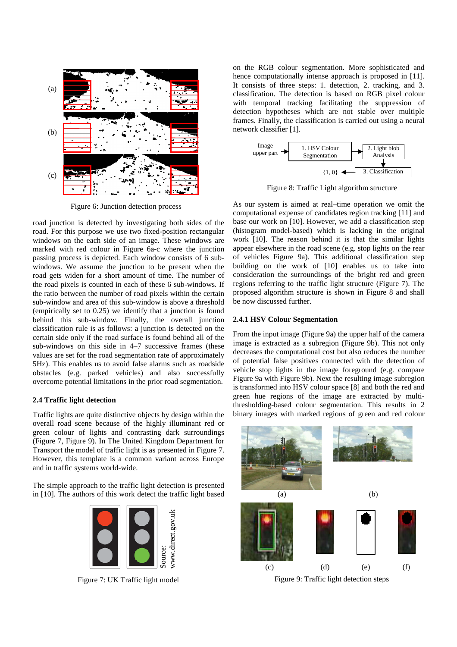

Figure 6: Junction detection process

road junction is detected by investigating both sides of the road. For this purpose we use two fixed-position rectangular windows on the each side of an image. These windows are marked with red colour in Figure 6a-c where the junction passing process is depicted. Each window consists of 6 subwindows. We assume the junction to be present when the road gets widen for a short amount of time. The number of the road pixels is counted in each of these 6 sub-windows. If the ratio between the number of road pixels within the certain sub-window and area of this sub-window is above a threshold (empirically set to 0.25) we identify that a junction is found behind this sub-window. Finally, the overall junction classification rule is as follows: a junction is detected on the certain side only if the road surface is found behind all of the sub-windows on this side in 4–7 successive frames (these values are set for the road segmentation rate of approximately 5Hz). This enables us to avoid false alarms such as roadside obstacles (e.g. parked vehicles) and also successfully overcome potential limitations in the prior road segmentation.

# **2.4 Traffic light detection**

Traffic lights are quite distinctive objects by design within the overall road scene because of the highly illuminant red or green colour of lights and contrasting dark surroundings (Figure 7, Figure 9). In The United Kingdom Department for Transport the model of traffic light is as presented in Figure 7. However, this template is a common variant across Europe and in traffic systems world-wide.

The simple approach to the traffic light detection is presented in [10]. The authors of this work detect the traffic light based



on the RGB colour segmentation. More sophisticated and hence computationally intense approach is proposed in [11]. It consists of three steps: 1. detection, 2. tracking, and 3. classification. The detection is based on RGB pixel colour with temporal tracking facilitating the suppression of detection hypotheses which are not stable over multiple frames. Finally, the classification is carried out using a neural network classifier [1].



Figure 8: Traffic Light algorithm structure

As our system is aimed at real–time operation we omit the computational expense of candidates region tracking [11] and base our work on [10]. However, we add a classification step (histogram model-based) which is lacking in the original work [10]. The reason behind it is that the similar lights appear elsewhere in the road scene (e.g. stop lights on the rear of vehicles Figure 9a). This additional classification step building on the work of [10] enables us to take into consideration the surroundings of the bright red and green regions referring to the traffic light structure (Figure 7). The proposed algorithm structure is shown in Figure 8 and shall be now discussed further.

#### **2.4.1 HSV Colour Segmentation**

From the input image (Figure 9a) the upper half of the camera image is extracted as a subregion (Figure 9b). This not only decreases the computational cost but also reduces the number of potential false positives connected with the detection of vehicle stop lights in the image foreground (e.g. compare Figure 9a with Figure 9b). Next the resulting image subregion is transformed into HSV colour space [8] and both the red and green hue regions of the image are extracted by multithresholding-based colour segmentation. This results in 2 binary images with marked regions of green and red colour



Figure 9: Traffic light detection steps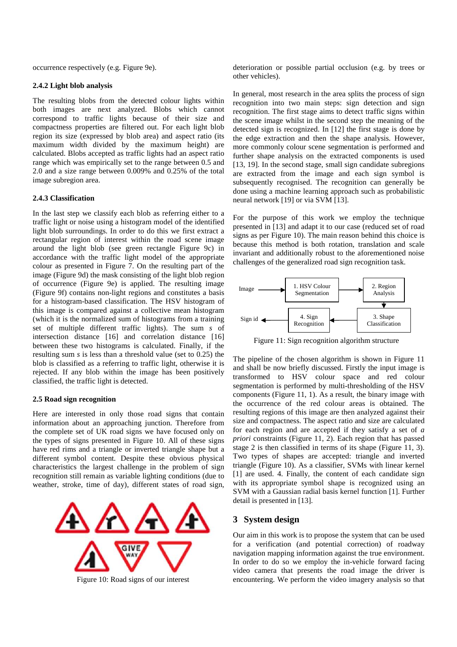occurrence respectively (e.g. Figure 9e).

#### **2.4.2 Light blob analysis**

The resulting blobs from the detected colour lights within both images are next analyzed. Blobs which cannot correspond to traffic lights because of their size and compactness properties are filtered out. For each light blob region its size (expressed by blob area) and aspect ratio (its maximum width divided by the maximum height) are calculated. Blobs accepted as traffic lights had an aspect ratio range which was empirically set to the range between 0.5 and 2.0 and a size range between 0.009% and 0.25% of the total image subregion area.

## **2.4.3 Classification**

In the last step we classify each blob as referring either to a traffic light or noise using a histogram model of the identified light blob surroundings. In order to do this we first extract a rectangular region of interest within the road scene image around the light blob (see green rectangle Figure 9c) in accordance with the traffic light model of the appropriate colour as presented in Figure 7. On the resulting part of the image (Figure 9d) the mask consisting of the light blob region of occurrence (Figure 9e) is applied. The resulting image (Figure 9f) contains non-light regions and constitutes a basis for a histogram-based classification. The HSV histogram of this image is compared against a collective mean histogram (which it is the normalized sum of histograms from a training set of multiple different traffic lights). The sum *s* of intersection distance [16] and correlation distance [16] between these two histograms is calculated. Finally, if the resulting sum *s* is less than a threshold value (set to 0.25) the blob is classified as a referring to traffic light, otherwise it is rejected. If any blob within the image has been positively classified, the traffic light is detected.

## **2.5 Road sign recognition**

Here are interested in only those road signs that contain information about an approaching junction. Therefore from the complete set of UK road signs we have focused only on the types of signs presented in Figure 10. All of these signs have red rims and a triangle or inverted triangle shape but a different symbol content. Despite these obvious physical characteristics the largest challenge in the problem of sign recognition still remain as variable lighting conditions (due to weather, stroke, time of day), different states of road sign,



deterioration or possible partial occlusion (e.g. by trees or other vehicles).

In general, most research in the area splits the process of sign recognition into two main steps: sign detection and sign recognition. The first stage aims to detect traffic signs within the scene image whilst in the second step the meaning of the detected sign is recognized. In [12] the first stage is done by the edge extraction and then the shape analysis. However, more commonly colour scene segmentation is performed and further shape analysis on the extracted components is used [13, 19]. In the second stage, small sign candidate subregions are extracted from the image and each sign symbol is subsequently recognised. The recognition can generally be done using a machine learning approach such as probabilistic neural network [19] or via SVM [13].

For the purpose of this work we employ the technique presented in [13] and adapt it to our case (reduced set of road signs as per Figure 10). The main reason behind this choice is because this method is both rotation, translation and scale invariant and additionally robust to the aforementioned noise challenges of the generalized road sign recognition task.



Figure 11: Sign recognition algorithm structure

The pipeline of the chosen algorithm is shown in Figure 11 and shall be now briefly discussed. Firstly the input image is transformed to HSV colour space and red colour segmentation is performed by multi-thresholding of the HSV components (Figure 11, 1). As a result, the binary image with the occurrence of the red colour areas is obtained. The resulting regions of this image are then analyzed against their size and compactness. The aspect ratio and size are calculated for each region and are accepted if they satisfy a set of *a priori* constraints (Figure 11, 2). Each region that has passed stage 2 is then classified in terms of its shape (Figure 11, 3). Two types of shapes are accepted: triangle and inverted triangle (Figure 10). As a classifier, SVMs with linear kernel [1] are used. 4. Finally, the content of each candidate sign with its appropriate symbol shape is recognized using an SVM with a Gaussian radial basis kernel function [1]. Further detail is presented in [13].

# **3 System design**

Our aim in this work is to propose the system that can be used for a verification (and potential correction) of roadway navigation mapping information against the true environment. In order to do so we employ the in-vehicle forward facing video camera that presents the road image the driver is Figure 10: Road signs of our interest encountering. We perform the video imagery analysis so that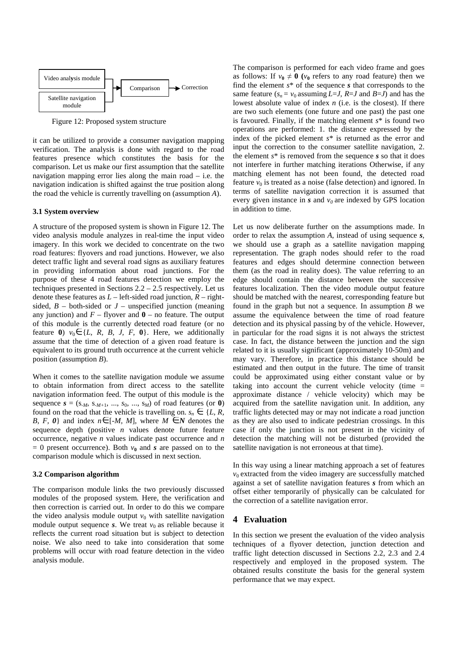

Figure 12: Proposed system structure

it can be utilized to provide a consumer navigation mapping verification. The analysis is done with regard to the road features presence which constitutes the basis for the comparison. Let us make our first assumption that the satellite navigation mapping error lies along the main road – i.e. the navigation indication is shifted against the true position along the road the vehicle is currently travelling on (assumption *A*).

#### **3.1 System overview**

A structure of the proposed system is shown in Figure 12. The video analysis module analyzes in real-time the input video imagery. In this work we decided to concentrate on the two road features: flyovers and road junctions. However, we also detect traffic light and several road signs as auxiliary features in providing information about road junctions. For the purpose of these 4 road features detection we employ the techniques presented in Sections  $2.2 - 2.5$  respectively. Let us denote these features as  $L$  – left-sided road junction,  $R$  – rightsided,  $B -$  both-sided or  $J -$  unspecified junction (meaning any junction) and  $F -$  flyover and  $\mathbf{0} -$  no feature. The output of this module is the currently detected road feature (or no feature **0**)  $v_0 \in \{L, R, B, J, F, \mathbf{0}\}.$  Here, we additionally assume that the time of detection of a given road feature is equivalent to its ground truth occurrence at the current vehicle position (assumption *B*).

When it comes to the satellite navigation module we assume to obtain information from direct access to the satellite navigation information feed. The output of this module is the sequence  $s = (s_{-M}, s_{-M+1}, ..., s_0, ..., s_M)$  of road features (or **0**) found on the road that the vehicle is travelling on.  $s_n \in \{L, R, \}$ *B, F, 0*} and index  $n \in [-M, M]$ , where  $M \in N$  denotes the sequence depth (positive *n* values denote future feature occurrence, negative *n* values indicate past occurrence and *n*   $= 0$  present occurrence). Both  $v_0$  and *s* are passed on to the comparison module which is discussed in next section.

## **3.2 Comparison algorithm**

The comparison module links the two previously discussed modules of the proposed system. Here, the verification and then correction is carried out. In order to do this we compare the video analysis module output  $v_0$  with satellite navigation module output sequence  $s$ . We treat  $v_0$  as reliable because it reflects the current road situation but is subject to detection noise. We also need to take into consideration that some problems will occur with road feature detection in the video analysis module.

The comparison is performed for each video frame and goes as follows: If  $v_0 \neq 0$  ( $v_0$  refers to any road feature) then we find the element *s*\* of the sequence *s* that corresponds to the same feature  $(s_n = v_0 \text{ assuming } L = J, R = J \text{ and } B = J)$  and has the lowest absolute value of index *n* (i.e. is the closest). If there are two such elements (one future and one past) the past one is favoured. Finally, if the matching element *s*\* is found two operations are performed: 1. the distance expressed by the index of the picked element *s*\* is returned as the error and input the correction to the consumer satellite navigation, 2. the element *s*\* is removed from the sequence *s* so that it does not interfere in further matching iterations Otherwise, if any matching element has not been found, the detected road feature  $v_0$  is treated as a noise (false detection) and ignored. In terms of satellite navigation correction it is assumed that every given instance in  $s$  and  $v_0$  are indexed by GPS location in addition to time.

Let us now deliberate further on the assumptions made. In order to relax the assumption *A*, instead of using sequence *s,* we should use a graph as a satellite navigation mapping representation. The graph nodes should refer to the road features and edges should determine connection between them (as the road in reality does). The value referring to an edge should contain the distance between the successive features localization. Then the video module output feature should be matched with the nearest, corresponding feature but found in the graph but not a sequence. In assumption *B* we assume the equivalence between the time of road feature detection and its physical passing by of the vehicle. However, in particular for the road signs it is not always the strictest case. In fact, the distance between the junction and the sign related to it is usually significant (approximately 10-50m) and may vary. Therefore, in practice this distance should be estimated and then output in the future. The time of transit could be approximated using either constant value or by taking into account the current vehicle velocity (time  $=$ approximate distance / vehicle velocity) which may be acquired from the satellite navigation unit. In addition, any traffic lights detected may or may not indicate a road junction as they are also used to indicate pedestrian crossings. In this case if only the junction is not present in the vicinity of detection the matching will not be disturbed (provided the satellite navigation is not erroneous at that time).

In this way using a linear matching approach a set of features  $v_0$  extracted from the video imagery are successfully matched against a set of satellite navigation features *s* from which an offset either temporarily of physically can be calculated for the correction of a satellite navigation error.

## **4 Evaluation**

In this section we present the evaluation of the video analysis techniques of a flyover detection, junction detection and traffic light detection discussed in Sections 2.2, 2.3 and 2.4 respectively and employed in the proposed system. The obtained results constitute the basis for the general system performance that we may expect.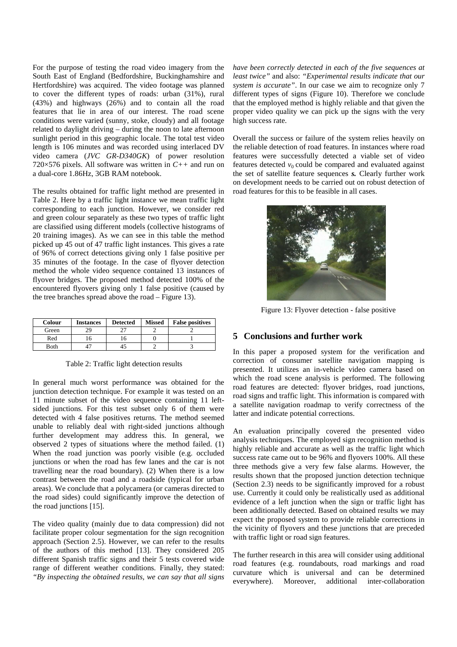For the purpose of testing the road video imagery from the South East of England (Bedfordshire, Buckinghamshire and Hertfordshire) was acquired. The video footage was planned to cover the different types of roads: urban (31%), rural (43%) and highways (26%) and to contain all the road features that lie in area of our interest. The road scene conditions were varied (sunny, stoke, cloudy) and all footage related to daylight driving – during the noon to late afternoon sunlight period in this geographic locale. The total test video length is 106 minutes and was recorded using interlaced DV video camera (*JVC GR-D340GK*) of power resolution 720×576 pixels. All software was written in *C++* and run on a dual-core 1.86Hz, 3GB RAM notebook.

The results obtained for traffic light method are presented in Table 2. Here by a traffic light instance we mean traffic light corresponding to each junction. However, we consider red and green colour separately as these two types of traffic light are classified using different models (collective histograms of 20 training images). As we can see in this table the method picked up 45 out of 47 traffic light instances. This gives a rate of 96% of correct detections giving only 1 false positive per 35 minutes of the footage. In the case of flyover detection method the whole video sequence contained 13 instances of flyover bridges. The proposed method detected 100% of the encountered flyovers giving only 1 false positive (caused by the tree branches spread above the road – Figure 13).

| <b>Colour</b> | <b>Instances</b> | <b>Detected</b> | <b>Missed</b> | <b>False positives</b> |
|---------------|------------------|-----------------|---------------|------------------------|
| Green         |                  |                 |               |                        |
| Red           |                  |                 |               |                        |
| <b>B</b> oth  |                  |                 |               |                        |

Table 2: Traffic light detection results

In general much worst performance was obtained for the junction detection technique. For example it was tested on an 11 minute subset of the video sequence containing 11 leftsided junctions. For this test subset only 6 of them were detected with 4 false positives returns. The method seemed unable to reliably deal with right-sided junctions although further development may address this. In general, we observed 2 types of situations where the method failed. (1) When the road junction was poorly visible (e.g. occluded junctions or when the road has few lanes and the car is not travelling near the road boundary). (2) When there is a low contrast between the road and a roadside (typical for urban areas). We conclude that a polycamera (or cameras directed to the road sides) could significantly improve the detection of the road junctions [15].

The video quality (mainly due to data compression) did not facilitate proper colour segmentation for the sign recognition approach (Section 2.5). However, we can refer to the results of the authors of this method [13]. They considered 205 different Spanish traffic signs and their 5 tests covered wide range of different weather conditions. Finally, they stated: *"By inspecting the obtained results, we can say that all signs*  *have been correctly detected in each of the five sequences at least twice"* and also: *"Experimental results indicate that our system is accurate"*. In our case we aim to recognize only 7 different types of signs (Figure 10). Therefore we conclude that the employed method is highly reliable and that given the proper video quality we can pick up the signs with the very high success rate.

Overall the success or failure of the system relies heavily on the reliable detection of road features. In instances where road features were successfully detected a viable set of video features detected  $v_0$  could be compared and evaluated against the set of satellite feature sequences *s.* Clearly further work on development needs to be carried out on robust detection of road features for this to be feasible in all cases.



Figure 13: Flyover detection - false positive

# **5 Conclusions and further work**

In this paper a proposed system for the verification and correction of consumer satellite navigation mapping is presented. It utilizes an in-vehicle video camera based on which the road scene analysis is performed. The following road features are detected: flyover bridges, road junctions, road signs and traffic light. This information is compared with a satellite navigation roadmap to verify correctness of the latter and indicate potential corrections.

An evaluation principally covered the presented video analysis techniques. The employed sign recognition method is highly reliable and accurate as well as the traffic light which success rate came out to be 96% and flyovers 100%. All these three methods give a very few false alarms. However, the results shown that the proposed junction detection technique (Section 2.3) needs to be significantly improved for a robust use. Currently it could only be realistically used as additional evidence of a left junction when the sign or traffic light has been additionally detected. Based on obtained results we may expect the proposed system to provide reliable corrections in the vicinity of flyovers and these junctions that are preceded with traffic light or road sign features.

The further research in this area will consider using additional road features (e.g. roundabouts, road markings and road curvature which is universal and can be determined everywhere). Moreover, additional inter-collaboration